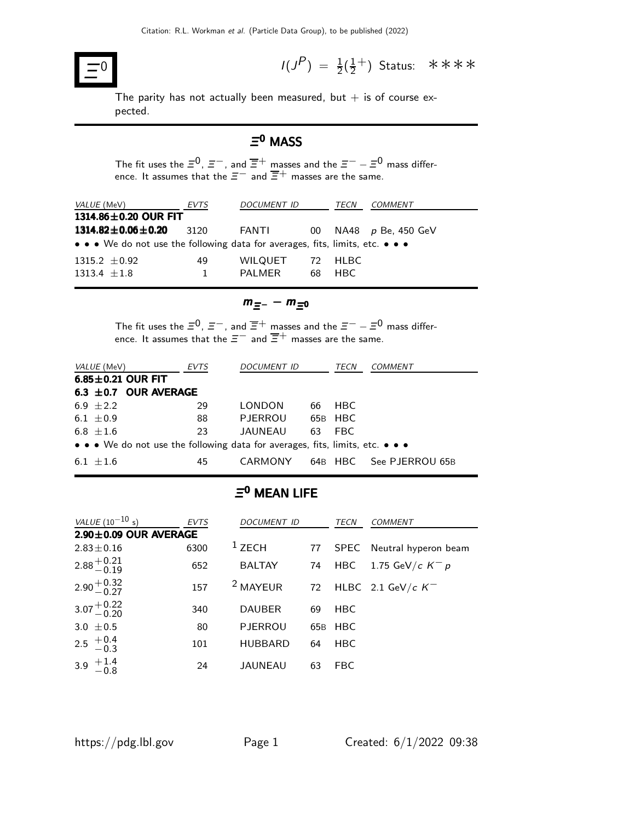

0  $I(J^P) = \frac{1}{2}(\frac{1}{2})$  $\frac{1}{2}$ <sup>+</sup>) Status: ∗∗∗∗

The parity has not actually been measured, but  $+$  is of course expected.

### $\mathsf{\Xi}^\mathbf{0}$  MASS

The fit uses the  $\Xi^0$ ,  $\Xi^-$ , and  $\overline{\Xi}{}^+$  masses and the  $\Xi^- - \Xi^0$  mass difference. It assumes that the  $\Xi^-$  and  $\overline{\Xi}^+$  masses are the same.

| EVTS                       | <b>DOCUMENT ID</b> |    | TECN | COMMENT                                                                                  |
|----------------------------|--------------------|----|------|------------------------------------------------------------------------------------------|
| 1314.86 $\pm$ 0.20 OUR FIT |                    |    |      |                                                                                          |
| 3120                       | FANTI              | 00 |      | NA48 $p$ Be, 450 GeV                                                                     |
|                            |                    |    |      |                                                                                          |
| 49                         | WILQUET            |    |      |                                                                                          |
|                            | PAI MFR            | 68 | HBC. |                                                                                          |
|                            |                    |    |      | • • • We do not use the following data for averages, fits, limits, etc. • • •<br>72 HLBC |

$$
m_{\Xi^-}-m_{\Xi^0}
$$

The fit uses the  $\Xi^0$ ,  $\Xi^-$ , and  $\overline{\Xi}^+$  masses and the  $\Xi^- - \Xi^0$  mass difference. It assumes that the  $\Xi^-$  and  $\overline{\Xi}^+$  masses are the same.

|                                                                               | <i>VALUE</i> (MeV)        | EVTS | <b>DOCUMENT ID</b> |    | TECN    | <b>COMMENT</b>          |  |  |
|-------------------------------------------------------------------------------|---------------------------|------|--------------------|----|---------|-------------------------|--|--|
|                                                                               | $6.85 \pm 0.21$ OUR FIT   |      |                    |    |         |                         |  |  |
|                                                                               | 6.3 $\pm$ 0.7 OUR AVERAGE |      |                    |    |         |                         |  |  |
|                                                                               | 6.9 $\pm 2.2$             | 29   | LONDON             |    | 66 HBC  |                         |  |  |
|                                                                               | 6.1 $\pm$ 0.9             | 88   | PJERROU            |    | 65B HBC |                         |  |  |
|                                                                               | 6.8 $\pm 1.6$             | 23   | JAUNEAU            | 63 | FBC.    |                         |  |  |
| • • • We do not use the following data for averages, fits, limits, etc. • • • |                           |      |                    |    |         |                         |  |  |
|                                                                               | $6.1 + 1.6$               | 45   | CARMONY            |    |         | 64B HBC See PJERROU 65B |  |  |

#### $\mathsf{\Xi}^\mathsf{0}$  MEAN LIFE

| <i>VALUE</i> $(10^{-10} s)$ | <b>EVTS</b> | <b>DOCUMENT ID</b>  |     | TECN       | COMMENT                         |
|-----------------------------|-------------|---------------------|-----|------------|---------------------------------|
| $2.90 \pm 0.09$ OUR AVERAGE |             |                     |     |            |                                 |
| $2.83 \pm 0.16$             | 6300        | $1$ ZECH            | 77  |            | SPEC Neutral hyperon beam       |
| $2.88^{+0.21}_{-0.19}$      | 652         | <b>BALTAY</b>       | 74  | HBC        | $1.75\,\,{\rm GeV}/c\,\,K^-\,p$ |
| $2.90 + 0.32$<br>-0.27      | 157         | <sup>2</sup> MAYEUR | 72  |            | HLBC 2.1 GeV/c $K^-$            |
| $3.07 + 0.22$<br>-0.20      | 340         | <b>DAUBER</b>       | 69  | <b>HBC</b> |                                 |
| 3.0 $\pm$ 0.5               | 80          | <b>PJERROU</b>      | 65B | <b>HBC</b> |                                 |
| 2.5 $+0.4$<br>-0.3          | 101         | <b>HUBBARD</b>      | 64  | <b>HBC</b> |                                 |
| 3.9 $^{+1.4}_{-0.8}$        | 24          | <b>JAUNEAU</b>      | 63  | <b>FBC</b> |                                 |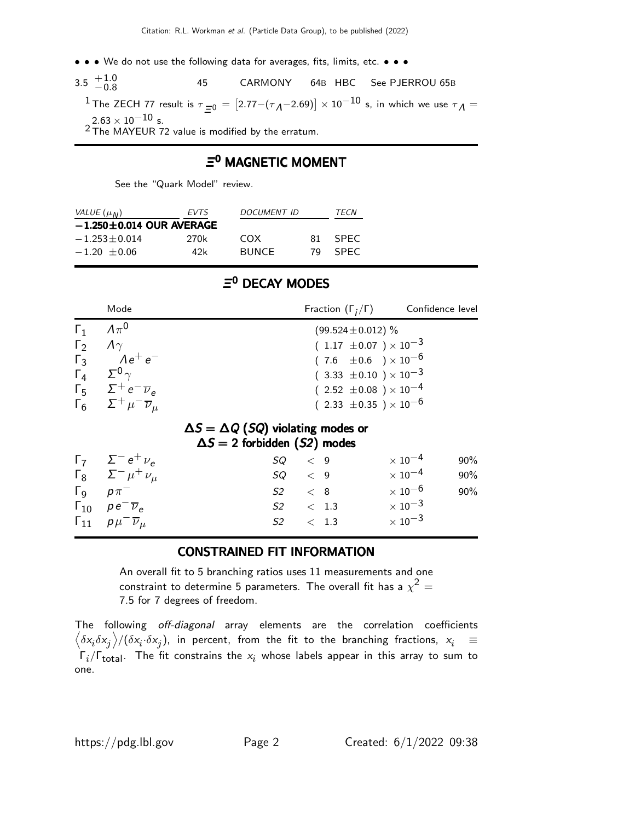- • We do not use the following data for averages, fits, limits, etc. • •
- $3.5\begin{array}{l} +1.0 \ -0.8 \end{array}$ 45 CARMONY 64B HBC See PJERROU 65B

<sup>1</sup> The ZECH 77 result is  $\tau_{\equiv 0} = [2.77-(\tau_A-2.69)] \times 10^{-10}$  s, in which we use  $\tau_A =$  $2.63\times10^{-10}$  s.

 $2$  The MAYEUR 72 value is modified by the erratum.

#### $\mathsf{\Xi}^\mathbf{0}$  MAGNETIC MOMENT

See the "Quark Model" review.

| VALUE $(\mu_N)$                | <i>EVTS</i> | DOCUMENT ID  | TFCN |             |  |  |  |
|--------------------------------|-------------|--------------|------|-------------|--|--|--|
| $-1.250 \pm 0.014$ OUR AVERAGE |             |              |      |             |  |  |  |
| $-1.253 + 0.014$               | 270k        | COX          | 81   | <b>SPFC</b> |  |  |  |
| $-1.20 + 0.06$                 | 42k         | <b>BUNCE</b> | 79   | <b>SPFC</b> |  |  |  |

#### Ξ<sup>0</sup> DECAY MODES

|                                                      | Mode                                                                                                                                                                 | Confidence level<br>Fraction $(\Gamma_i/\Gamma)$                                                                                                                                                         |        |
|------------------------------------------------------|----------------------------------------------------------------------------------------------------------------------------------------------------------------------|----------------------------------------------------------------------------------------------------------------------------------------------------------------------------------------------------------|--------|
| $\Gamma_1$<br>$\Gamma_2$<br>$\Gamma_3$<br>$\Gamma_4$ | $\Lambda \pi^0$<br>$\Lambda$<br>$Ae^+e^-$<br>$\Sigma^0$ $\gamma$<br>$\Gamma_5$ $\Sigma^+ e^- \overline{\nu}_e$<br>$\Gamma_6 \quad \Sigma^+ \mu^- \overline{\nu}_\mu$ | $(99.524 \pm 0.012)$ %<br>$(1.17 \pm 0.07) \times 10^{-3}$<br>$(7.6 \pm 0.6) \times 10^{-6}$<br>$(3.33 \pm 0.10) \times 10^{-3}$<br>$(2.52 \pm 0.08) \times 10^{-4}$<br>$(2.33 \pm 0.35) \times 10^{-6}$ |        |
|                                                      |                                                                                                                                                                      | $\Delta S = \Delta Q$ (SQ) violating modes or<br>$\Delta S = 2$ forbidden (S2) modes                                                                                                                     |        |
|                                                      | $\Gamma_7 \quad \Sigma^- e^+ \nu_e$                                                                                                                                  | $\times$ 10 $^{-4}$<br>SQ<br>$\langle 9$                                                                                                                                                                 | $90\%$ |
|                                                      | $Γ_8$ $Σ^ μ^+$ $ν_\mu$                                                                                                                                               | $\times$ 10 $^{-4}$<br>$SQ \leq 9$                                                                                                                                                                       | $90\%$ |
| $\Gamma_{\mathsf{Q}}$                                | $p\pi^-$                                                                                                                                                             | $\times$ 10 $^{-6}$<br>$S2 \t < 8$                                                                                                                                                                       | 90%    |
|                                                      | $\Gamma_{10}$ $\rho e^- \overline{\nu}_e$                                                                                                                            | $\times$ 10 <sup>-3</sup><br>$S2 \t < 1.3$                                                                                                                                                               |        |
|                                                      | $\Gamma_{11}$ $\rho \mu^- \overline{\nu}_\mu$                                                                                                                        | $\times$ 10 <sup>-3</sup><br>S2<br>< 1.3                                                                                                                                                                 |        |

#### CONSTRAINED FIT INFORMATION

An overall fit to 5 branching ratios uses 11 measurements and one constraint to determine 5 parameters. The overall fit has a  $\chi^2 =$ 7.5 for 7 degrees of freedom.

The following off-diagonal array elements are the correlation coefficients  $\left<\delta x_i\delta x_j\right>$ / $(\delta x_i\cdot\delta x_j)$ , in percent, from the fit to the branching fractions,  $x_i$   $\;\equiv$  $\Gamma_i/\Gamma_{\rm total}$ . The fit constrains the  $x_i$  whose labels appear in this array to sum to one.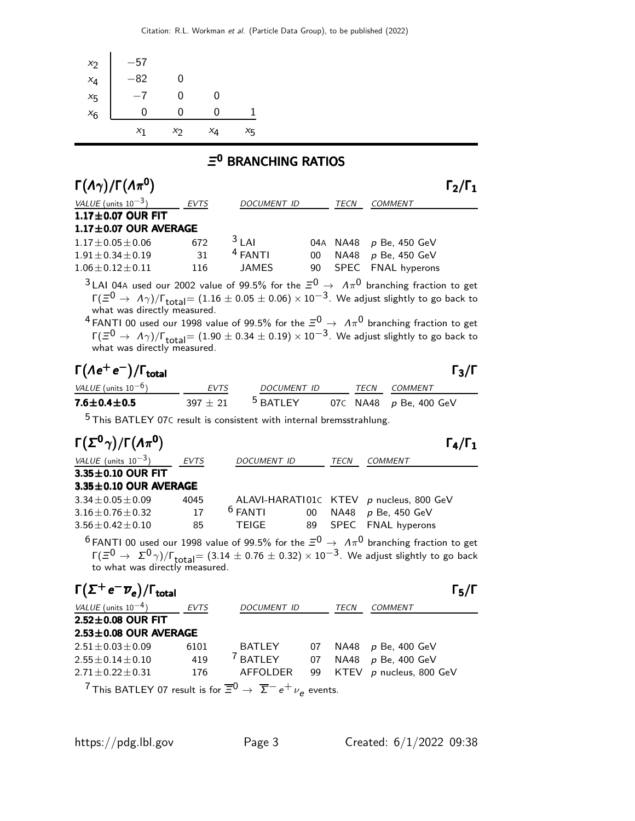| $x_2$          | -57   |       |    |    |
|----------------|-------|-------|----|----|
|                | -82   | 0     |    |    |
| $x_4$<br>$x_5$ |       | 0     | 0  |    |
| $x_6$          |       | 0     | 0  |    |
|                | $x_1$ | $x_2$ | XΔ | ×5 |

### Ξ <sup>0</sup> BRANCHING RATIOS

| $\Gamma(\Lambda \gamma)/\Gamma(\Lambda \pi^0)$ |             |                    |    |                      |                        | $\Gamma_2/\Gamma_1$ |
|------------------------------------------------|-------------|--------------------|----|----------------------|------------------------|---------------------|
| VALUE (units $10^{-3}$ )                       | <b>EVTS</b> | <b>DOCUMENT ID</b> |    | TECN                 | <b>COMMENT</b>         |                     |
| $1.17\pm0.07$ OUR FIT                          |             |                    |    |                      |                        |                     |
| $1.17 \pm 0.07$ OUR AVERAGE                    |             |                    |    |                      |                        |                     |
| $1.17 \pm 0.05 \pm 0.06$                       | 672         | $3$ LAI            |    |                      | 04A NA48 p Be, 450 GeV |                     |
| $1.91 \pm 0.34 \pm 0.19$                       | 31          | $4$ FANTI          | 00 |                      | NA48 $p$ Be, 450 GeV   |                     |
| $1.06 \pm 0.12 \pm 0.11$                       | 116         | JAMES              | 90 |                      | SPEC FNAL hyperons     |                     |
| $\sim$                                         |             |                    |    | $\sim$ $\sim$ $\sim$ |                        |                     |

 $^3$ LAI 04A used our 2002 value of 99.5% for the  $\Xi^0$   $\rightarrow$   $\,$   $\Lambda \pi^0$  branching fraction to get  $Γ(≡<sup>0</sup> → Λγ)/Γ<sub>total</sub> = (1.16 ± 0.05 ± 0.06) × 10<sup>-3</sup>$ . We adjust slightly to go back to what was directly measured.

 $^4$  FANTI 00 used our 1998 value of 99.5% for the  $\Xi^0$   $\rightarrow$   $\,$   $\Lambda \pi^0$  branching fraction to get  $\Gamma(\equiv^0 \to \Lambda \gamma)/\Gamma_{\rm total} = (1.90 \pm 0.34 \pm 0.19) \times 10^{-3}$ . We adjust slightly to go back to what was directly measured.

# $\Gamma(\Lambda e^+ e^-)/\Gamma_{\text{total}}$  Γ<sub>3</sub>/Γ

#### $\Gamma_3/\Gamma$

| VALUE (units $10^{-6}$ ) | <b>EVTS</b> | <i>DOCUMENT ID</i>  |  | TECN COMMENT             |
|--------------------------|-------------|---------------------|--|--------------------------|
| $7.6 \pm 0.4 \pm 0.5$    | $397 + 21$  | <sup>5</sup> BATLEY |  | 07C NA48 $p$ Be, 400 GeV |

5 This BATLEY 07<sup>C</sup> result is consistent with internal bremsstrahlung.

| $\Gamma(\Sigma^0 \gamma)/\Gamma(\Lambda \pi^0)$ |             |                    |      | $\Gamma_4/\Gamma_1$                                                                                                                                                                                                                                    |
|-------------------------------------------------|-------------|--------------------|------|--------------------------------------------------------------------------------------------------------------------------------------------------------------------------------------------------------------------------------------------------------|
| VALUE (units $10^{-3}$ )                        | <b>EVTS</b> | <b>DOCUMENT ID</b> | TECN | <b>COMMENT</b>                                                                                                                                                                                                                                         |
| 3.35±0.10 OUR FIT                               |             |                    |      |                                                                                                                                                                                                                                                        |
| $3.35 \pm 0.10$ OUR AVERAGE                     |             |                    |      |                                                                                                                                                                                                                                                        |
| $3.34 \pm 0.05 \pm 0.09$                        | 4045        |                    |      | ALAVI-HARATI01C KTEV p nucleus, 800 GeV                                                                                                                                                                                                                |
| $3.16 + 0.76 + 0.32$                            | 17          | $6$ FANTI          |      | 00 NA48 p Be, 450 GeV                                                                                                                                                                                                                                  |
| $3.56 \pm 0.42 \pm 0.10$                        | 85          | TEIGE              |      | 89 SPEC FNAL hyperons                                                                                                                                                                                                                                  |
| to what was directly measured.                  |             |                    |      | <sup>6</sup> FANTI 00 used our 1998 value of 99.5% for the $\Xi^0 \rightarrow A\pi^0$ branching fraction to get<br>$\Gamma(\Xi^0 \to \Sigma^0 \gamma)/\Gamma_{\text{total}} = (3.14 \pm 0.76 \pm 0.32) \times 10^{-3}$ . We adjust slightly to go back |
|                                                 |             |                    |      |                                                                                                                                                                                                                                                        |

| $\Gamma(\Sigma^+e^-\overline{\nu}_e)/\Gamma_{\rm total}$                                      |             |                     |    |      |                         | $\Gamma_5/\Gamma$ |
|-----------------------------------------------------------------------------------------------|-------------|---------------------|----|------|-------------------------|-------------------|
| VALUE (units $10^{-4}$ )                                                                      | <b>EVTS</b> | DOCUMENT ID         |    | TECN | <b>COMMENT</b>          |                   |
| $2.52 \pm 0.08$ OUR FIT                                                                       |             |                     |    |      |                         |                   |
| $2.53 \pm 0.08$ OUR AVERAGE                                                                   |             |                     |    |      |                         |                   |
| $2.51 \pm 0.03 \pm 0.09$                                                                      | 6101        | <b>BATLEY</b>       | 07 | NA48 | p Be, 400 GeV           |                   |
| $2.55 + 0.14 + 0.10$                                                                          | 419         | <sup>7</sup> BATLEY | 07 | NA48 | p Be, 400 GeV           |                   |
| $2.71 \pm 0.22 \pm 0.31$                                                                      | 176         | AFFOLDER            | 99 |      | KTEV p nucleus, 800 GeV |                   |
| $7$ This PATI EV 07 result is fax $\overline{50}$ $\sqrt{5}$ $\rightarrow$ $\pm$ $\mu$ system |             |                     |    |      |                         |                   |

 $\sqrt{7}$  This BATLEY 07 result is for  $\overline{\Xi}{}^0 \to \overline{\Sigma}{}^- e^+ \nu_e$  events.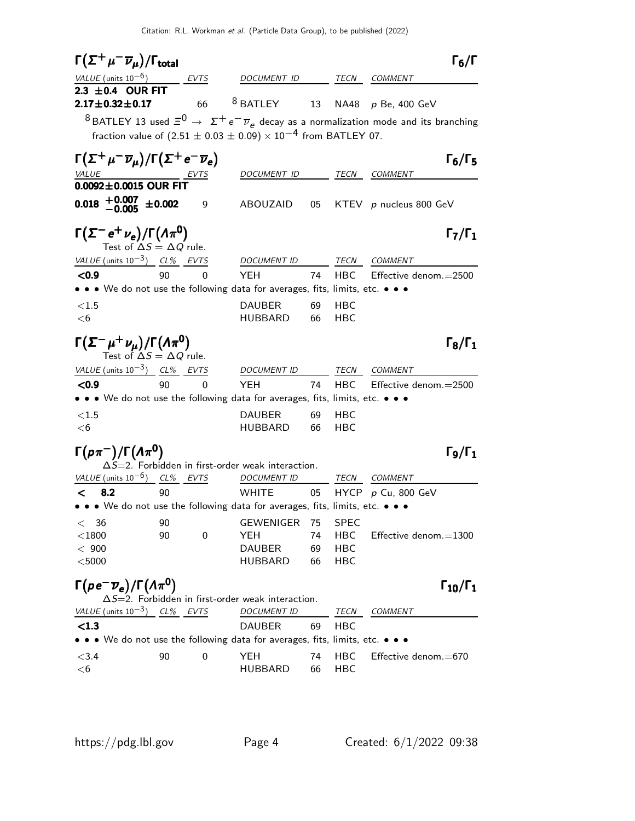| $\Gamma(\Sigma^+\mu^-\overline{\nu}_\mu)/\Gamma_{\rm total}$                                 |    |          |                                                                                                                                      |    |             | $\Gamma_6/\Gamma$                                                                                                  |
|----------------------------------------------------------------------------------------------|----|----------|--------------------------------------------------------------------------------------------------------------------------------------|----|-------------|--------------------------------------------------------------------------------------------------------------------|
| VALUE (units $10^{-6}$ ) EVTS                                                                |    |          | DOCUMENT ID TECN COMMENT                                                                                                             |    |             |                                                                                                                    |
| 2.3 $\pm$ 0.4 OUR FIT                                                                        |    |          |                                                                                                                                      |    |             |                                                                                                                    |
| $2.17 \pm 0.32 \pm 0.17$                                                                     |    | 66       | $8$ BATLEY                                                                                                                           |    |             | 13 NA48 p Be, 400 GeV                                                                                              |
|                                                                                              |    |          |                                                                                                                                      |    |             | $^8$ BATLEY 13 used $\bar{z}^0 \rightarrow z^+e^-\overline{\nu}_e$ decay as a normalization mode and its branching |
|                                                                                              |    |          | fraction value of $(2.51 \pm 0.03 \pm 0.09) \times 10^{-4}$ from BATLEY 07.                                                          |    |             |                                                                                                                    |
|                                                                                              |    |          |                                                                                                                                      |    |             |                                                                                                                    |
| $\Gamma(\Sigma^+\mu^-\overline{\nu}_\mu)/\Gamma(\Sigma^+e^-\overline{\nu}_e)$                |    |          |                                                                                                                                      |    |             | $\Gamma_6/\Gamma_5$                                                                                                |
|                                                                                              |    |          | DOCUMENT ID TECN COMMENT                                                                                                             |    |             |                                                                                                                    |
| $\frac{\text{VALUE}}{\text{0.0092}\pm\text{0.0015}} \frac{\text{EVTS}}{\text{OUT}}$          |    |          |                                                                                                                                      |    |             |                                                                                                                    |
| $0.018$ + $0.007$ + 0.002                                                                    |    | 9        |                                                                                                                                      |    |             | ABOUZAID 05 KTEV p nucleus 800 GeV                                                                                 |
|                                                                                              |    |          |                                                                                                                                      |    |             |                                                                                                                    |
| $\Gamma(\Sigma^- e^+ \nu_e)/\Gamma(\Lambda \pi^0)$<br>Test of $\Delta S = \Delta Q$ rule.    |    |          |                                                                                                                                      |    |             | $\Gamma_7/\Gamma_1$                                                                                                |
| VALUE (units $10^{-3}$ ) CL% EVTS                                                            |    |          | DOCUMENT ID                                                                                                                          |    |             | TECN COMMENT                                                                                                       |
| < 0.9                                                                                        | 90 | 0        | <b>YEH</b>                                                                                                                           | 74 |             | HBC Effective denom.=2500                                                                                          |
|                                                                                              |    |          | • • • We do not use the following data for averages, fits, limits, etc. • • •                                                        |    |             |                                                                                                                    |
|                                                                                              |    |          |                                                                                                                                      |    |             |                                                                                                                    |
| <1.5                                                                                         |    |          | <b>DAUBER</b>                                                                                                                        | 69 | HBC         |                                                                                                                    |
| $<$ 6                                                                                        |    |          | HUBBARD                                                                                                                              | 66 | <b>HBC</b>  |                                                                                                                    |
| $\Gamma(\Sigma^-\mu^+\nu_{\mu})/\Gamma(\Lambda\pi^0)$<br>Test of $\Delta S = \Delta Q$ rule. |    |          |                                                                                                                                      |    |             | $\Gamma_8/\Gamma_1$                                                                                                |
| VALUE (units $10^{-3}$ ) CL% EVTS                                                            |    |          | DOCUMENT ID TECN COMMENT                                                                                                             |    |             |                                                                                                                    |
| < 0.9                                                                                        | 90 | $\Omega$ | <b>YEH</b>                                                                                                                           | 74 |             | HBC Effective denom.=2500                                                                                          |
|                                                                                              |    |          | • • • We do not use the following data for averages, fits, limits, etc. • • •                                                        |    |             |                                                                                                                    |
| <1.5                                                                                         |    |          | <b>DAUBER</b>                                                                                                                        | 69 | HBC         |                                                                                                                    |
| $<$ 6                                                                                        |    |          | HUBBARD                                                                                                                              | 66 | HBC         |                                                                                                                    |
| $\Gamma(p\pi^-)/\Gamma(\Lambda\pi^0)$                                                        |    |          |                                                                                                                                      |    |             | $\Gamma_{9}/\Gamma_{1}$                                                                                            |
|                                                                                              |    |          | $\Delta S = 2$ . Forbidden in first-order weak interaction.                                                                          |    |             |                                                                                                                    |
| VALUE (units $10^{-6}$ ) CL% EVTS                                                            |    |          | <i>DOCUMENT ID</i>                                                                                                                   |    | TECN        | COMMENT                                                                                                            |
| $\lt$ 8.2                                                                                    | 90 |          | <b>WHITE</b>                                                                                                                         | 05 |             | HYCP $p$ Cu, 800 GeV                                                                                               |
|                                                                                              |    |          | • • • We do not use the following data for averages, fits, limits, etc. • • •                                                        |    |             |                                                                                                                    |
| < 36                                                                                         | 90 |          | GEWENIGER                                                                                                                            | 75 | <b>SPEC</b> |                                                                                                                    |
| $<$ 1800                                                                                     | 90 | 0        | YEH                                                                                                                                  | 74 | HBC         | Effective denom.=1300                                                                                              |
| < 900                                                                                        |    |          | <b>DAUBER</b>                                                                                                                        | 69 | HBC         |                                                                                                                    |
| $<$ 5000                                                                                     |    |          | HUBBARD                                                                                                                              | 66 | HBC         |                                                                                                                    |
| $\Gamma(\rho e^- \overline{\nu}_e)/\Gamma(\Lambda \pi^0)$                                    |    |          | $\Delta S = 2$ . Forbidden in first-order weak interaction.                                                                          |    |             | $\Gamma_{10}/\Gamma_1$                                                                                             |
| <u>VALUE</u> (units $10^{-3}$ ) CL% EVTS                                                     |    |          | <b>DOCUMENT ID</b>                                                                                                                   |    | TECN        | <b>COMMENT</b>                                                                                                     |
| < 1.3                                                                                        |    |          | <b>DAUBER</b>                                                                                                                        | 69 | HBC         |                                                                                                                    |
|                                                                                              |    |          | $\bullet\,\bullet\,\bullet\,$ We do not use the following data for averages, fits, limits, etc. $\bullet\,\bullet\,\bullet\,\bullet$ |    |             |                                                                                                                    |
| < 3.4                                                                                        | 90 | 0        | YEH                                                                                                                                  | 74 | HBC         | Effective denom. $=670$                                                                                            |
| $<$ 6                                                                                        |    |          | <b>HUBBARD</b>                                                                                                                       | 66 | HBC         |                                                                                                                    |
|                                                                                              |    |          |                                                                                                                                      |    |             |                                                                                                                    |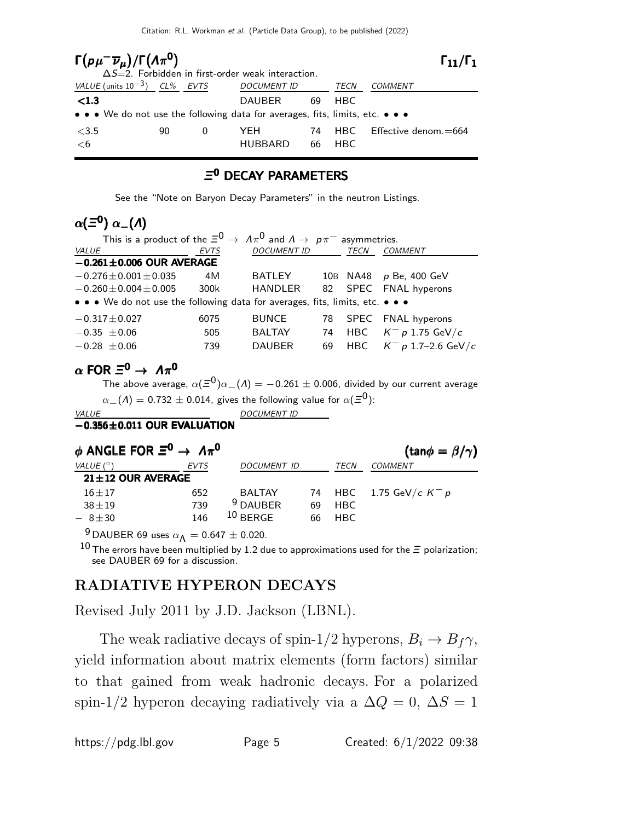| $\Gamma(p\mu^-\overline{\nu}_\mu)/\Gamma(\Lambda\pi^0)$                       |    |   | $\Delta S = 2$ . Forbidden in first-order weak interaction. |          |              | $\Gamma_{11}/\Gamma_{1}$ |
|-------------------------------------------------------------------------------|----|---|-------------------------------------------------------------|----------|--------------|--------------------------|
| VALUE (units $10^{-3}$ ) CL% EVTS                                             |    |   | <b>DOCUMENT ID</b>                                          |          | TECN         | <i>COMMENT</i>           |
| $\langle 1.3$                                                                 |    |   | DAUBER                                                      | 69       | HBC.         |                          |
| • • • We do not use the following data for averages, fits, limits, etc. • • • |    |   |                                                             |          |              |                          |
| <3.5<br><6                                                                    | 90 | 0 | YFH<br><b>HUBBARD</b>                                       | 74<br>66 | HBC.<br>HBC. | Effective denom. $=664$  |

#### Ξ <sup>0</sup> DECAY PARAMETERS

See the "Note on Baryon Decay Parameters" in the neutron Listings.

# $\alpha(\bar{\Xi}^0) \; \alpha_-(\Lambda)$

| This is a product of the $\Xi^0 \to A\pi^0$ and $A \to p\pi^-$ asymmetries.   |      |                    |    |             |                        |
|-------------------------------------------------------------------------------|------|--------------------|----|-------------|------------------------|
| <i>VALUE</i>                                                                  | EVTS | <b>DOCUMENT ID</b> |    | <b>TECN</b> | <b>COMMENT</b>         |
| $-0.261 \pm 0.006$ OUR AVERAGE                                                |      |                    |    |             |                        |
| $-0.276 \pm 0.001 \pm 0.035$                                                  | 4M   | <b>BATLEY</b>      |    |             | 10B NA48 p Be, 400 GeV |
| $-0.260 \pm 0.004 \pm 0.005$                                                  | 300k | <b>HANDLER</b>     |    |             | 82 SPEC FNAL hyperons  |
| • • • We do not use the following data for averages, fits, limits, etc. • • • |      |                    |    |             |                        |
| $-0.317 \pm 0.027$                                                            | 6075 | <b>BUNCE</b>       | 78 |             | SPEC FNAL hyperons     |
| $-0.35 \pm 0.06$                                                              | 505  | <b>BALTAY</b>      | 74 | HBC         | $K^-$ p 1.75 GeV/c     |
| $-0.28 \pm 0.06$                                                              | 739  | <b>DAUBER</b>      | 69 | HBC         | $K^-$ p 1.7–2.6 GeV/c  |
|                                                                               |      |                    |    |             |                        |

## $\alpha$  FOR  $\Xi^0 \rightarrow A\pi^0$

The above average,  $\alpha(\bar{=}^0)\alpha_-(\Lambda) = -0.261 \pm 0.006$ , divided by our current average  $\alpha_-(\varLambda)=$  0.732  $\pm$  0.014, gives the following value for  $\alpha(\bar{\varXi}^0)$ :

VALUE DOCUMENT ID  $-0.356\pm0.011$  OUR EVALUATION

# $\phi$  ANGLE FOR  $\Xi^{\mathsf{0}}\to~\varLambda\pi^{\mathsf{0}}$

| $\phi$ ANGLE FOR $\Xi^0 \to A\pi^0$ |             |                     |    |      | $(\tan\phi = \beta/\gamma)$ |
|-------------------------------------|-------------|---------------------|----|------|-----------------------------|
| VALUE $(^\circ)$                    | <b>EVTS</b> | <b>DOCUMENT ID</b>  |    | TECN | <b>COMMENT</b>              |
| $21 \pm 12$ OUR AVERAGE             |             |                     |    |      |                             |
| $16 \pm 17$                         | 652         | <b>BALTAY</b>       |    |      | 74 HBC 1.75 GeV/c $K^- p$   |
| $38 + 19$                           | 739         | <sup>9</sup> DAUBER | 69 | HBC  |                             |
| $-8 + 30$                           | 146         | $10$ BERGE          | 66 | HBC. |                             |

<sup>9</sup> DAUBER 69 uses  $\alpha_{\Lambda} = 0.647 \pm 0.020$ .

10 The errors have been multiplied by 1.2 due to approximations used for the  $\Xi$  polarization; see DAUBER 69 for a discussion.

## RADIATIVE HYPERON DECAYS

Revised July 2011 by J.D. Jackson (LBNL).

The weak radiative decays of spin-1/2 hyperons,  $B_i \rightarrow B_f \gamma$ , yield information about matrix elements (form factors) similar to that gained from weak hadronic decays. For a polarized spin-1/2 hyperon decaying radiatively via a  $\Delta Q = 0$ ,  $\Delta S = 1$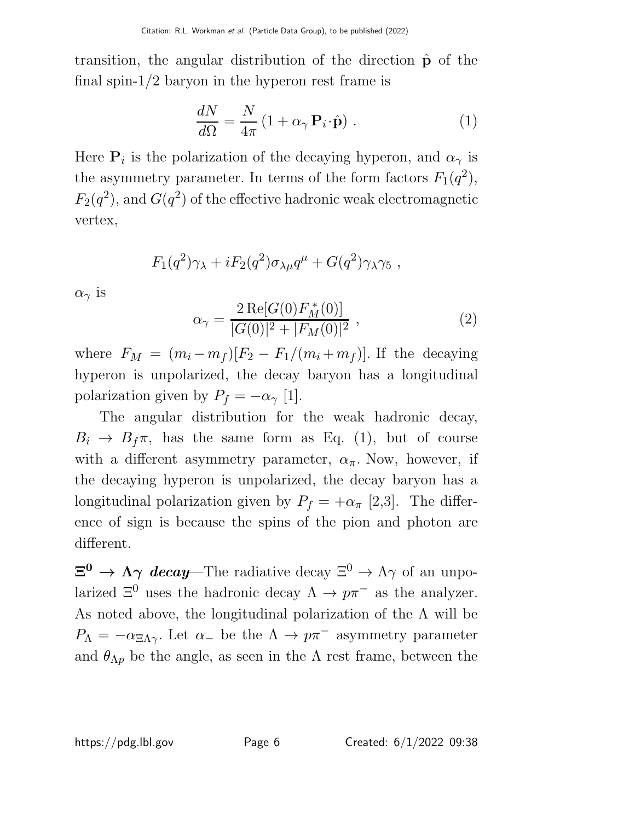transition, the angular distribution of the direction  $\hat{p}$  of the final spin-1/2 baryon in the hyperon rest frame is

$$
\frac{dN}{d\Omega} = \frac{N}{4\pi} \left( 1 + \alpha_{\gamma} \, \mathbf{P}_i \cdot \hat{\mathbf{p}} \right) \,. \tag{1}
$$

Here  $P_i$  is the polarization of the decaying hyperon, and  $\alpha_{\gamma}$  is the asymmetry parameter. In terms of the form factors  $F_1(q^2)$ ,  $F_2(q^2)$ , and  $G(q^2)$  of the effective hadronic weak electromagnetic vertex,

$$
F_1(q^2)\gamma_\lambda + iF_2(q^2)\sigma_{\lambda\mu}q^\mu + G(q^2)\gamma_\lambda\gamma_5,
$$

 $\alpha_{\gamma}$  is

$$
\alpha_{\gamma} = \frac{2 \operatorname{Re}[G(0) F_M^*(0)]}{|G(0)|^2 + |F_M(0)|^2}, \qquad (2)
$$

where  $F_M = (m_i - m_f)[F_2 - F_1/(m_i + m_f)]$ . If the decaying hyperon is unpolarized, the decay baryon has a longitudinal polarization given by  $P_f = -\alpha_\gamma$  [1].

The angular distribution for the weak hadronic decay,  $B_i \rightarrow B_f \pi$ , has the same form as Eq. (1), but of course with a different asymmetry parameter,  $\alpha_{\pi}$ . Now, however, if the decaying hyperon is unpolarized, the decay baryon has a longitudinal polarization given by  $P_f = +\alpha_\pi$  [2,3]. The difference of sign is because the spins of the pion and photon are different.

 $\Xi^0 \to \Lambda \gamma$  decay—The radiative decay  $\Xi^0 \to \Lambda \gamma$  of an unpolarized  $\Xi^0$  uses the hadronic decay  $\Lambda \to p\pi^-$  as the analyzer. As noted above, the longitudinal polarization of the  $\Lambda$  will be  $P_{\Lambda} = -\alpha_{\Xi\Lambda\gamma}$ . Let  $\alpha_{-}$  be the  $\Lambda \to p\pi^{-}$  asymmetry parameter and  $\theta_{\Lambda p}$  be the angle, as seen in the  $\Lambda$  rest frame, between the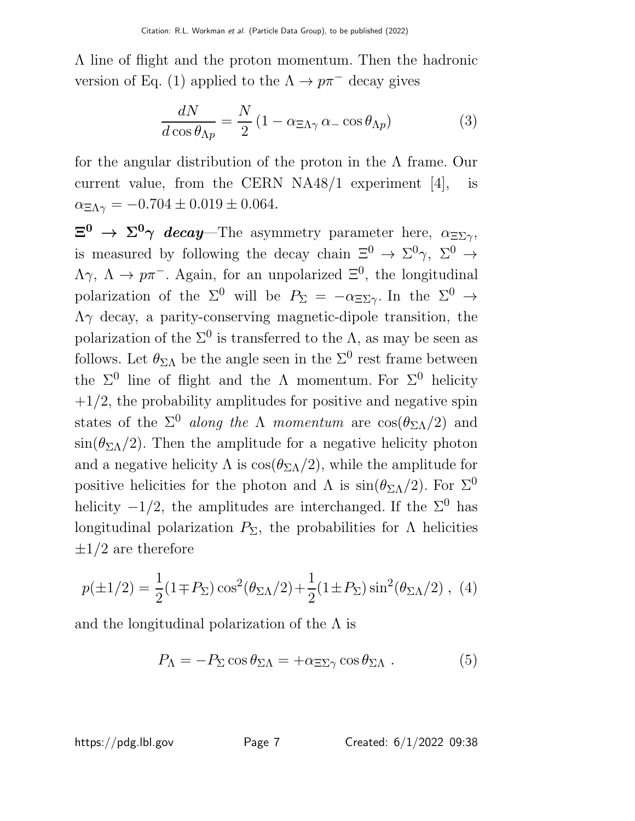Λ line of flight and the proton momentum. Then the hadronic version of Eq. (1) applied to the  $\Lambda \to p\pi^-$  decay gives

$$
\frac{dN}{d\cos\theta_{\Lambda p}} = \frac{N}{2} \left( 1 - \alpha_{\Xi\Lambda\gamma} \alpha_{-} \cos\theta_{\Lambda p} \right) \tag{3}
$$

for the angular distribution of the proton in the Λ frame. Our current value, from the CERN NA48/1 experiment [4], is  $\alpha_{\text{E}} = -0.704 \pm 0.019 \pm 0.064.$ 

 $\Xi^0 \to \Sigma^0 \gamma$  decay—The asymmetry parameter here,  $\alpha_{\Xi\Sigma\gamma}$ , is measured by following the decay chain  $\Xi^0 \to \Sigma^0 \gamma$ ,  $\Sigma^0 \to$  $\Lambda \gamma$ ,  $\Lambda \to p \pi^-$ . Again, for an unpolarized  $\Xi^0$ , the longitudinal polarization of the  $\Sigma^0$  will be  $P_{\Sigma} = -\alpha_{\Xi\Sigma}$ . In the  $\Sigma^0 \to$  $\Lambda$ γ decay, a parity-conserving magnetic-dipole transition, the polarization of the  $\Sigma^0$  is transferred to the  $\Lambda$ , as may be seen as follows. Let  $\theta_{\Sigma\Lambda}$  be the angle seen in the  $\Sigma^0$  rest frame between the  $\Sigma^0$  line of flight and the  $\Lambda$  momentum. For  $\Sigma^0$  helicity  $+1/2$ , the probability amplitudes for positive and negative spin states of the  $\Sigma^0$  along the  $\Lambda$  momentum are  $\cos(\theta_{\Sigma\Lambda}/2)$  and  $\sin(\theta_{\rm \Sigma} / 2)$ . Then the amplitude for a negative helicity photon and a negative helicity  $\Lambda$  is  $\cos(\theta_{\Sigma\Lambda}/2)$ , while the amplitude for positive helicities for the photon and  $\Lambda$  is  $\sin(\theta_{\Sigma\Lambda}/2)$ . For  $\Sigma^0$ helicity  $-1/2$ , the amplitudes are interchanged. If the  $\Sigma^0$  has longitudinal polarization  $P_{\Sigma}$ , the probabilities for  $\Lambda$  helicities  $\pm 1/2$  are therefore

$$
p(\pm 1/2) = \frac{1}{2} (1 \mp P_{\Sigma}) \cos^2(\theta_{\Sigma \Lambda}/2) + \frac{1}{2} (1 \pm P_{\Sigma}) \sin^2(\theta_{\Sigma \Lambda}/2) , \tag{4}
$$

and the longitudinal polarization of the  $\Lambda$  is

$$
P_{\Lambda} = -P_{\Sigma} \cos \theta_{\Sigma \Lambda} = +\alpha_{\Xi \Sigma \gamma} \cos \theta_{\Sigma \Lambda} . \qquad (5)
$$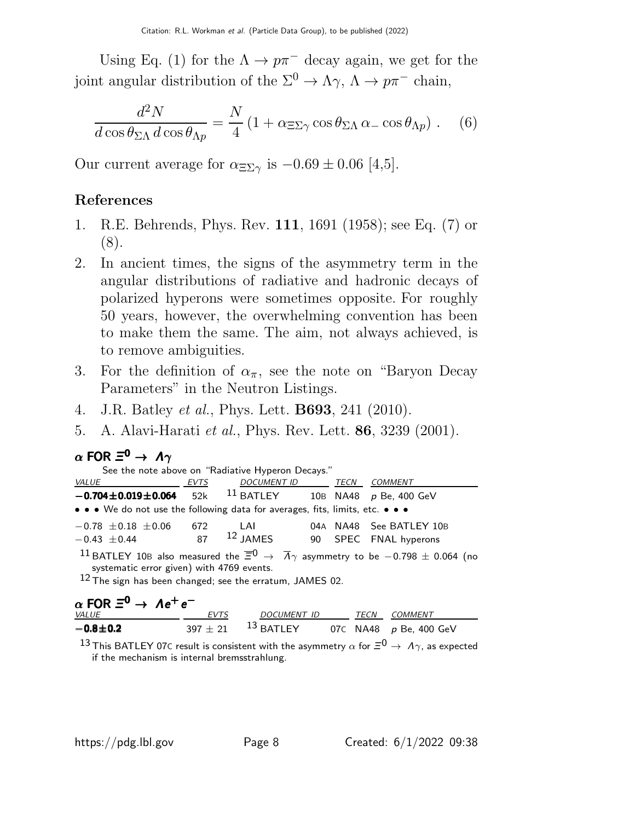Using Eq. (1) for the  $\Lambda \to p\pi^-$  decay again, we get for the joint angular distribution of the  $\Sigma^0 \to \Lambda \gamma$ ,  $\Lambda \to p \pi^-$  chain,

$$
\frac{d^2N}{d\cos\theta_{\Sigma\Lambda}\,d\cos\theta_{\Lambda p}} = \frac{N}{4}\left(1 + \alpha_{\Sigma\Sigma\gamma}\cos\theta_{\Sigma\Lambda}\,\alpha_-\cos\theta_{\Lambda p}\right). \tag{6}
$$

Our current average for  $\alpha_{\text{E}\Sigma\gamma}$  is  $-0.69 \pm 0.06$  [4,5].

# References

- 1. R.E. Behrends, Phys. Rev. 111, 1691 (1958); see Eq. (7) or (8).
- 2. In ancient times, the signs of the asymmetry term in the angular distributions of radiative and hadronic decays of polarized hyperons were sometimes opposite. For roughly 50 years, however, the overwhelming convention has been to make them the same. The aim, not always achieved, is to remove ambiguities.
- 3. For the definition of  $\alpha_{\pi}$ , see the note on "Baryon Decay" Parameters" in the Neutron Listings.
- 4. J.R. Batley et al., Phys. Lett. B693, 241 (2010).
- 5. A. Alavi-Harati et al., Phys. Rev. Lett. 86, 3239 (2001).

# $\alpha$  FOR  $\Xi^0\to\,\varLambda\gamma$

| See the note above on "Radiative Hyperon Decays."                                                                                                                                                                                                  |      |  |  |  |                          |  |
|----------------------------------------------------------------------------------------------------------------------------------------------------------------------------------------------------------------------------------------------------|------|--|--|--|--------------------------|--|
| <i>VALUE</i>                                                                                                                                                                                                                                       | EVTS |  |  |  | DOCUMENT ID TECN COMMENT |  |
| $-0.704 \pm 0.019 \pm 0.064$ 52k <sup>11</sup> BATLEY 10B NA48 p Be, 400 GeV                                                                                                                                                                       |      |  |  |  |                          |  |
| • • • We do not use the following data for averages, fits, limits, etc. • • •                                                                                                                                                                      |      |  |  |  |                          |  |
| $-0.78 \pm 0.18 \pm 0.06$ 672 LAI                                                                                                                                                                                                                  |      |  |  |  | 04A NA48 See BATLEY 10B  |  |
| $-0.43 \pm 0.44$ 87 <sup>12</sup> JAMES 90 SPEC FNAL hyperons                                                                                                                                                                                      |      |  |  |  |                          |  |
| <sup>11</sup> BATLEY 10B also measured the $\overline{\Xi}^0$ $\rightarrow$ $\overline{\Lambda}$ asymmetry to be -0.798 $\pm$ 0.064 (no<br>systematic error given) with 4769 events.<br>$12$ The sign has been changed; see the erratum, JAMES 02. |      |  |  |  |                          |  |
|                                                                                                                                                                                                                                                    |      |  |  |  |                          |  |

| $\alpha$ FOR $\Xi^0 \rightarrow \Lambda e^+e^-$ |             |                           |  |                               |
|-------------------------------------------------|-------------|---------------------------|--|-------------------------------|
| <i>VALUE</i>                                    | <i>EVTS</i> | DOCUMENT ID               |  | TECN COMMENT                  |
| $-0.8 \pm 0.2$                                  |             | $397\pm21$ $^{13}$ BATLEY |  | 07C NA48 <i>p</i> Be, 400 GeV |

13 This BATLEY 07C result is consistent with the asymmetry  $\alpha$  for  $\Xi^0 \to A\gamma$ , as expected if the mechanism is internal bremsstrahlung.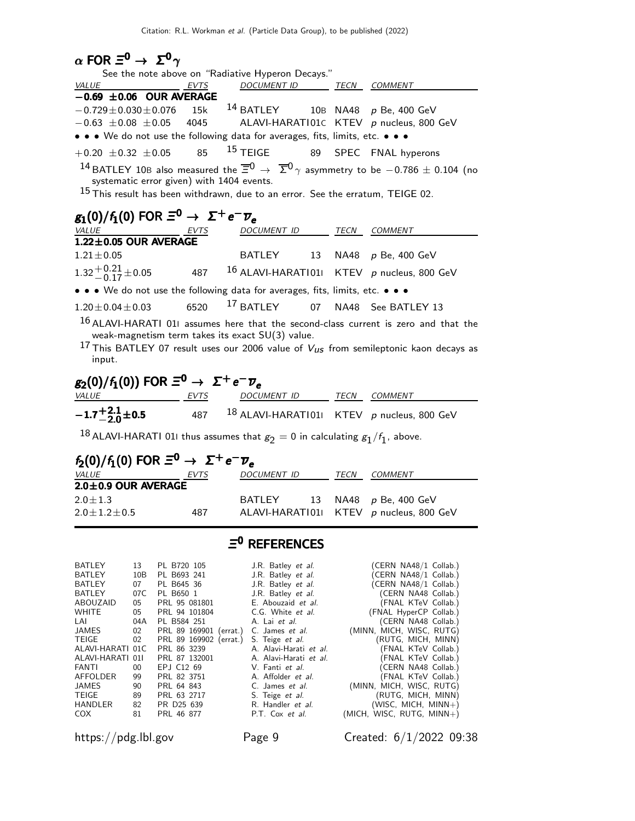| $\alpha$ FOR $\Xi^0 \rightarrow \Sigma^0 \gamma$                                                                                                                                    |                                                                                           |                                                                                                                                                                                                                                                                                  |                                                                                                                                                                                                                                                                                                                                                                          |    |                                                                                                                                                                                                                                                                                                                                                                                                                              |
|-------------------------------------------------------------------------------------------------------------------------------------------------------------------------------------|-------------------------------------------------------------------------------------------|----------------------------------------------------------------------------------------------------------------------------------------------------------------------------------------------------------------------------------------------------------------------------------|--------------------------------------------------------------------------------------------------------------------------------------------------------------------------------------------------------------------------------------------------------------------------------------------------------------------------------------------------------------------------|----|------------------------------------------------------------------------------------------------------------------------------------------------------------------------------------------------------------------------------------------------------------------------------------------------------------------------------------------------------------------------------------------------------------------------------|
|                                                                                                                                                                                     |                                                                                           |                                                                                                                                                                                                                                                                                  | See the note above on "Radiative Hyperon Decays."                                                                                                                                                                                                                                                                                                                        |    |                                                                                                                                                                                                                                                                                                                                                                                                                              |
| VALUE<br>$-0.69 \pm 0.06$ OUR AVERAGE                                                                                                                                               |                                                                                           | EVTS                                                                                                                                                                                                                                                                             | DOCUMENT ID TECN COMMENT                                                                                                                                                                                                                                                                                                                                                 |    |                                                                                                                                                                                                                                                                                                                                                                                                                              |
| $-0.729 \pm 0.030 \pm 0.076$                                                                                                                                                        |                                                                                           | 15k                                                                                                                                                                                                                                                                              |                                                                                                                                                                                                                                                                                                                                                                          |    | $14$ BATLEY 10B NA48 p Be, 400 GeV                                                                                                                                                                                                                                                                                                                                                                                           |
| $-0.63 \pm 0.08 \pm 0.05$ 4045                                                                                                                                                      |                                                                                           |                                                                                                                                                                                                                                                                                  |                                                                                                                                                                                                                                                                                                                                                                          |    | ALAVI-HARATI01C KTEV p nucleus, 800 GeV                                                                                                                                                                                                                                                                                                                                                                                      |
|                                                                                                                                                                                     |                                                                                           |                                                                                                                                                                                                                                                                                  | • • • We do not use the following data for averages, fits, limits, etc. • • •                                                                                                                                                                                                                                                                                            |    |                                                                                                                                                                                                                                                                                                                                                                                                                              |
| $+0.20 \pm 0.32 \pm 0.05$                                                                                                                                                           |                                                                                           | 85                                                                                                                                                                                                                                                                               | $15$ TEIGE                                                                                                                                                                                                                                                                                                                                                               |    | 89 SPEC FNAL hyperons                                                                                                                                                                                                                                                                                                                                                                                                        |
|                                                                                                                                                                                     |                                                                                           |                                                                                                                                                                                                                                                                                  |                                                                                                                                                                                                                                                                                                                                                                          |    | <sup>14</sup> BATLEY 10B also measured the $\overline{\Xi}^0$ $\rightarrow$ $\overline{\Sigma}^0$ $\gamma$ asymmetry to be $-0.786 \pm 0.104$ (no                                                                                                                                                                                                                                                                            |
|                                                                                                                                                                                     |                                                                                           | systematic error given) with 1404 events.                                                                                                                                                                                                                                        |                                                                                                                                                                                                                                                                                                                                                                          |    | $15$ This result has been withdrawn, due to an error. See the erratum, TEIGE 02.                                                                                                                                                                                                                                                                                                                                             |
|                                                                                                                                                                                     |                                                                                           |                                                                                                                                                                                                                                                                                  |                                                                                                                                                                                                                                                                                                                                                                          |    |                                                                                                                                                                                                                                                                                                                                                                                                                              |
| $g_1(0)/f_1(0)$ FOR $\Xi^0 \rightarrow \Sigma^+ e^- \overline{\nu}_e$                                                                                                               |                                                                                           |                                                                                                                                                                                                                                                                                  |                                                                                                                                                                                                                                                                                                                                                                          |    |                                                                                                                                                                                                                                                                                                                                                                                                                              |
| VALUE EVTS<br>1.22±0.05 OUR AVERAGE                                                                                                                                                 |                                                                                           |                                                                                                                                                                                                                                                                                  | DOCUMENT ID TECN COMMENT                                                                                                                                                                                                                                                                                                                                                 |    |                                                                                                                                                                                                                                                                                                                                                                                                                              |
| $1.21 \pm 0.05$                                                                                                                                                                     |                                                                                           |                                                                                                                                                                                                                                                                                  |                                                                                                                                                                                                                                                                                                                                                                          |    | BATLEY 13 NA48 p Be, 400 GeV                                                                                                                                                                                                                                                                                                                                                                                                 |
| $1.32^{+0.21}_{-0.17}$ ± 0.05                                                                                                                                                       |                                                                                           |                                                                                                                                                                                                                                                                                  |                                                                                                                                                                                                                                                                                                                                                                          |    | 487 $^{16}$ ALAVI-HARATI011 KTEV p nucleus, 800 GeV                                                                                                                                                                                                                                                                                                                                                                          |
|                                                                                                                                                                                     |                                                                                           |                                                                                                                                                                                                                                                                                  |                                                                                                                                                                                                                                                                                                                                                                          |    |                                                                                                                                                                                                                                                                                                                                                                                                                              |
|                                                                                                                                                                                     |                                                                                           |                                                                                                                                                                                                                                                                                  | • • • We do not use the following data for averages, fits, limits, etc. • • •                                                                                                                                                                                                                                                                                            |    |                                                                                                                                                                                                                                                                                                                                                                                                                              |
| $1.20 \pm 0.04 \pm 0.03$                                                                                                                                                            |                                                                                           | 6520                                                                                                                                                                                                                                                                             | $17$ BATLEY                                                                                                                                                                                                                                                                                                                                                              |    | 07 NA48 See BATLEY 13                                                                                                                                                                                                                                                                                                                                                                                                        |
| input.                                                                                                                                                                              |                                                                                           |                                                                                                                                                                                                                                                                                  | weak-magnetism term takes its exact SU(3) value.                                                                                                                                                                                                                                                                                                                         |    | $16$ ALAVI-HARATI 011 assumes here that the second-class current is zero and that the<br><sup>17</sup> This BATLEY 07 result uses our 2006 value of $V_{US}$ from semileptonic kaon decays as                                                                                                                                                                                                                                |
| $g_2(0)/f_1(0)$ ) FOR $\Xi^0 \to \Sigma^+ e^- \overline{\nu}_e$                                                                                                                     |                                                                                           |                                                                                                                                                                                                                                                                                  |                                                                                                                                                                                                                                                                                                                                                                          |    |                                                                                                                                                                                                                                                                                                                                                                                                                              |
| <b>VALUE</b>                                                                                                                                                                        |                                                                                           | EVTS                                                                                                                                                                                                                                                                             | DOCUMENT ID TECN COMMENT                                                                                                                                                                                                                                                                                                                                                 |    |                                                                                                                                                                                                                                                                                                                                                                                                                              |
| $-1.7^{+2.1}_{-2.0}$ ± 0.5                                                                                                                                                          |                                                                                           |                                                                                                                                                                                                                                                                                  |                                                                                                                                                                                                                                                                                                                                                                          |    | 487 18 ALAVI-HARATI011 KTEV p nucleus, 800 GeV                                                                                                                                                                                                                                                                                                                                                                               |
|                                                                                                                                                                                     |                                                                                           |                                                                                                                                                                                                                                                                                  |                                                                                                                                                                                                                                                                                                                                                                          |    | <sup>18</sup> ALAVI-HARATI 011 thus assumes that $g_2 = 0$ in calculating $g_1/f_1$ , above.                                                                                                                                                                                                                                                                                                                                 |
| $f_2(0)/f_1(0)$ FOR $\Xi^0 \rightarrow \Sigma^+e^-\overline{\nu}_e$                                                                                                                 |                                                                                           |                                                                                                                                                                                                                                                                                  |                                                                                                                                                                                                                                                                                                                                                                          |    |                                                                                                                                                                                                                                                                                                                                                                                                                              |
| <i>VALUE</i>                                                                                                                                                                        |                                                                                           | <u>EVTS</u>                                                                                                                                                                                                                                                                      | DOCUMENT ID                                                                                                                                                                                                                                                                                                                                                              |    | TECN COMMENT                                                                                                                                                                                                                                                                                                                                                                                                                 |
| 2.0±0.9 OUR AVERAGE                                                                                                                                                                 |                                                                                           |                                                                                                                                                                                                                                                                                  |                                                                                                                                                                                                                                                                                                                                                                          |    |                                                                                                                                                                                                                                                                                                                                                                                                                              |
| $2.0 \pm 1.3$                                                                                                                                                                       |                                                                                           |                                                                                                                                                                                                                                                                                  | BATLEY                                                                                                                                                                                                                                                                                                                                                                   | 13 | NA48 p Be, 400 GeV                                                                                                                                                                                                                                                                                                                                                                                                           |
| $2.0 \pm 1.2 \pm 0.5$                                                                                                                                                               |                                                                                           | 487                                                                                                                                                                                                                                                                              | ALAVI-HARATI01                                                                                                                                                                                                                                                                                                                                                           |    | KTEV p nucleus, 800 GeV                                                                                                                                                                                                                                                                                                                                                                                                      |
|                                                                                                                                                                                     |                                                                                           |                                                                                                                                                                                                                                                                                  | $\Xi^0$ REFERENCES                                                                                                                                                                                                                                                                                                                                                       |    |                                                                                                                                                                                                                                                                                                                                                                                                                              |
| BATLEY<br>BATLEY<br>BATLEY<br>BATLEY<br>ABOUZAID<br>WHITE<br>LAI<br>JAMES<br>TEIGE<br>ALAVI-HARATI 01C<br>ALAVI-HARATI 01I<br>FANTI<br>AFFOLDER<br>JAMES<br>TEIGE<br>HANDLER<br>COX | 13<br>10B<br>07<br>07C<br>05<br>05<br>04A<br>02<br>02<br>00<br>99<br>90<br>89<br>82<br>81 | PL B720 105<br>PL B693 241<br>PL B645 36<br>PL B650 1<br>PRL 95 081801<br>PRL 94 101804<br>PL B584 251<br>PRL 89 169901 (errat.)<br>PRL 89 169902 (errat.)<br>PRL 86 3239<br>PRL 87 132001<br>EPJ C12 69<br>PRL 82 3751<br>PRL 64 843<br>PRL 63 2717<br>PR D25 639<br>PRL 46 877 | J.R. Batley <i>et al.</i><br>J.R. Batley et al.<br>J.R. Batley et al.<br>J.R. Batley et al.<br>E. Abouzaid et al.<br>C.G. White et al.<br>A. Lai et al.<br>C. James et al.<br>S. Teige et al.<br>A. Alavi-Harati et al.<br>A. Alavi-Harati et al.<br>V. Fanti et al.<br>A. Affolder et al.<br>C. James et al.<br>S. Teige et al.<br>R. Handler et al.<br>P.T. Cox et al. |    | (CERN NA48/1 Collab.)<br>(CERN NA48/1 Collab.)<br>(CERN NA48/1 Collab.)<br>(CERN NA48 Collab.)<br>(FNAL KTeV Collab.)<br>(FNAL HyperCP Collab.)<br>(CERN NA48 Collab.)<br>(MINN, MICH, WISC, RUTG)<br>(RUTG, MICH, MINN)<br>(FNAL KTeV Collab.)<br>(FNAL KTeV Collab.)<br>(CERN NA48 Collab.)<br>(FNAL KTeV Collab.)<br>(MINN, MICH, WISC, RUTG)<br>(RUTG, MICH, MINN)<br>$(WISC, MICH, MINN+)$<br>(MICH, WISC, RUTG, MINN+) |

https://pdg.lbl.gov Page 9 Created: 6/1/2022 09:38